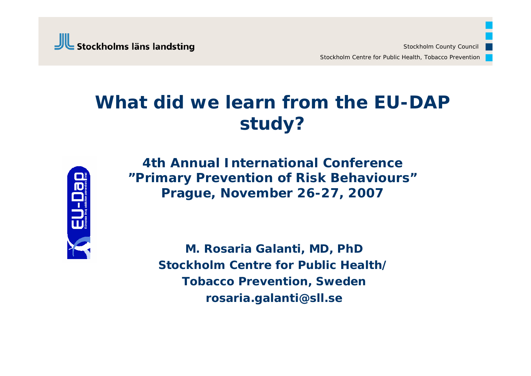

### **What did we learn from the EU-DAP study?**



**4th Annual International Conference"Primary Prevention of Risk Behaviours" Prague, November 26-27, 2007**

> **M. Rosaria Galanti, MD, PhD Stockholm Centre for Public Health/Tobacco Prevention, Sweden rosaria.galanti@sll.se**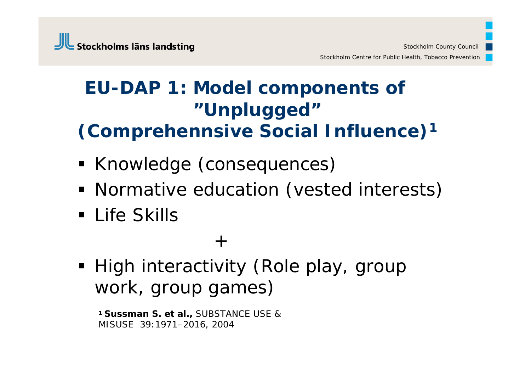### **EU-DAP 1: Model components of "Unplugged" (Comprehennsive Social Influence) 1**

- **Knowledge (consequences)**
- **Normative education (vested interests)**
- Life Skills

#### $+$

High interactivity (Role play, group work, group games)

**1 Sussman S. et al.,** SUBSTANCE USE & MISUSE 39:1971–2016, 2004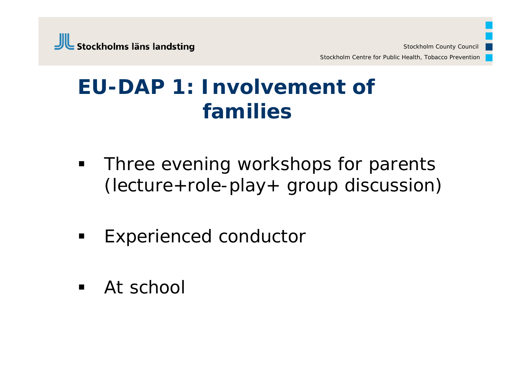## **EU-DAP 1: Involvement of families**

- $\blacksquare$  Three evening workshops for parents (lecture+role-play+ group discussion)
- $\blacksquare$ Experienced conductor
- **At school**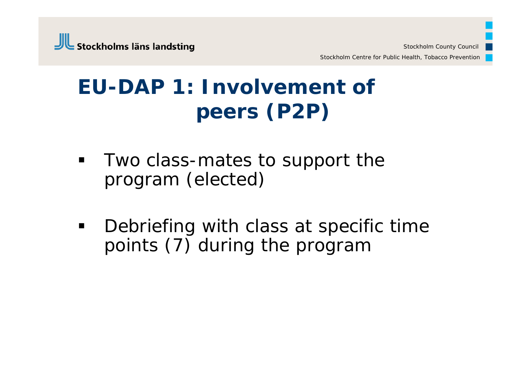# **EU-DAP 1: Involvement of peers (P2P)**

- **Two class-mates to support the** program (elected)
- $\blacksquare$  Debriefing with class at specific time points (7) during the program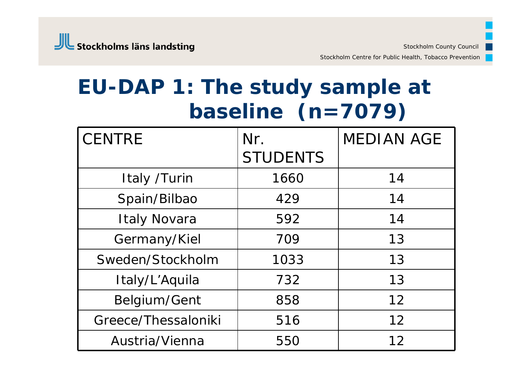Stockholm Centre for Public Health, Tobacco Prevention

## **EU-DAP 1: The study sample at baseline (n=7079)**

| <b>CENTRE</b>       | Nr.             | <b>MEDIAN AGE</b> |
|---------------------|-----------------|-------------------|
|                     | <b>STUDENTS</b> |                   |
| Italy /Turin        | 1660            | 14                |
| Spain/Bilbao        | 429             | 14                |
| <b>Italy Novara</b> | 592             | 14                |
| Germany/Kiel        | 709             | 13                |
| Sweden/Stockholm    | 1033            | 13                |
| Italy/L'Aquila      | 732             | 13                |
| Belgium/Gent        | 858             | 12                |
| Greece/Thessaloniki | 516             | 12                |
| Austria/Vienna      | 550             | 12                |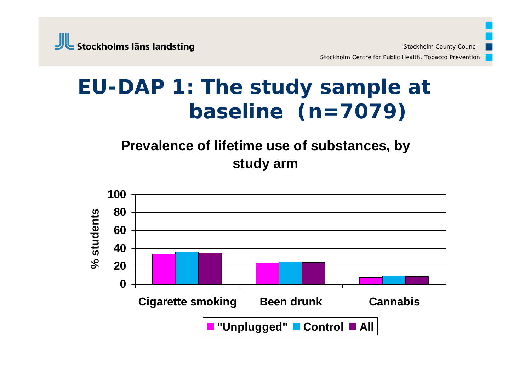## **EU-DAP 1: The study sample at baseline (n=7079)**

#### **Prevalence of lifetime use of substances, by study arm**

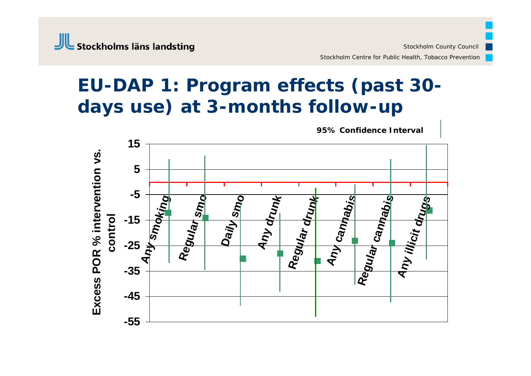### **EU-DAP 1: Program effects (past 30 days use) at 3-months follow-up**

**95% Confidence Interval**

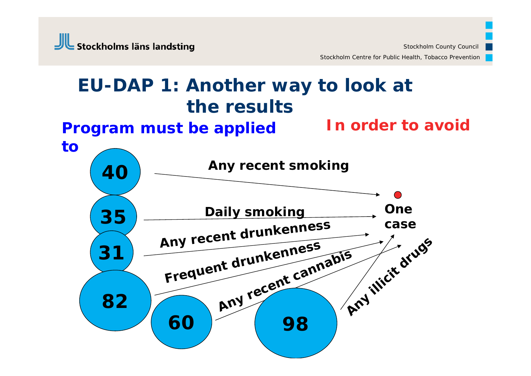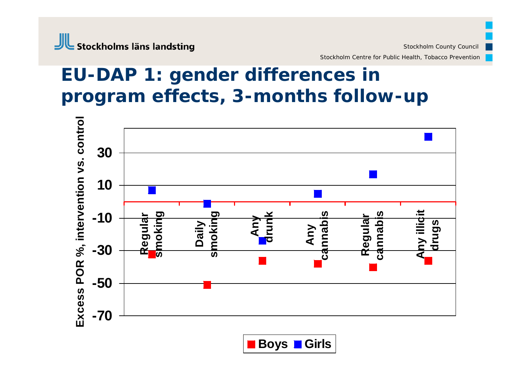#### Stockholms läns landsting

Stockholm Centre for Public Health, Tobacco Prevention

#### **EU-DAP 1: gender differences in program effects, 3-months follow-up**



**Boys Girls**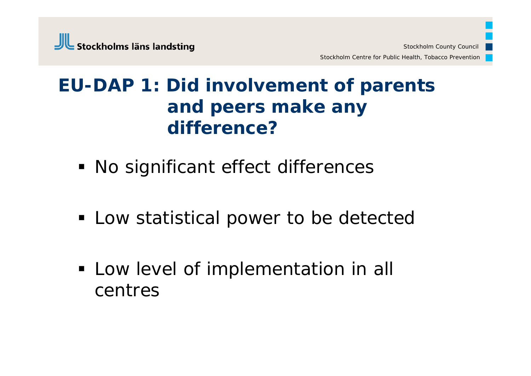### **EU-DAP 1: Did involvement of parents and peers make any difference?**

- No significant effect differences
- **EXA)** Low statistical power to be detected
- **Low level of implementation in all** centres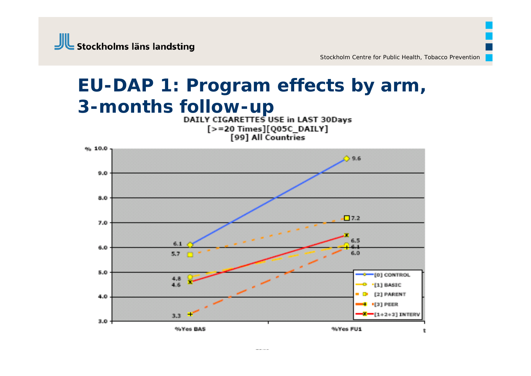

# **EU-DAP 1: Program effects by arm, 3-months follow-up**<br>DAILY CIGARETTES USE in LAST 30Days

[>=20 Times][Q05C\_DAILY]<br>[99] All Countries

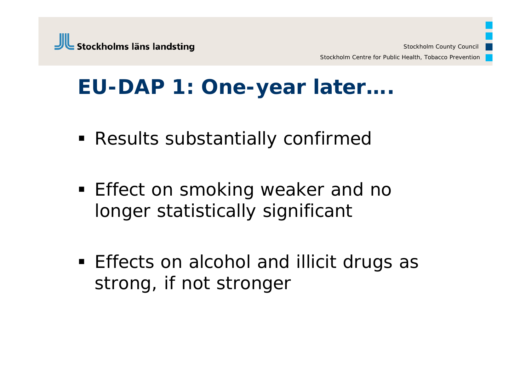## **EU-DAP 1: One-year later….**

- Results substantially confirmed
- **Effect on smoking weaker and no** longer statistically significant
- **Effects on alcohol and illicit drugs as** strong, if not stronger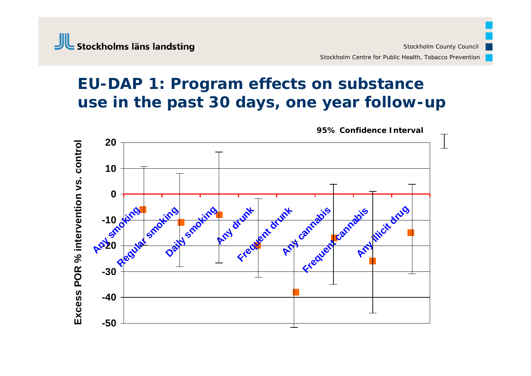#### **EU-DAP 1: Program effects on substance use in the past 30 days, one year follow-up**



**95% Confidence Interval**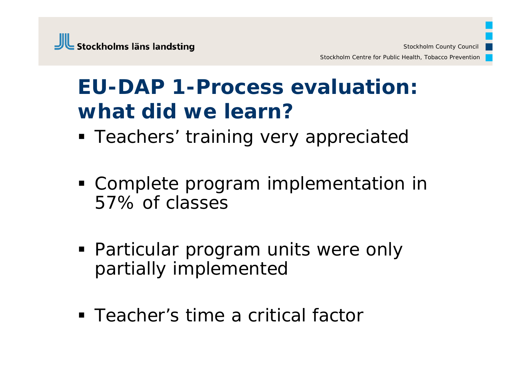# **EU-DAP 1-Process evaluation: what did we learn?**

- **Teachers' training very appreciated**
- Complete program implementation in 57% of classes
- Particular program units were only partially implemented
- Teacher's time a critical factor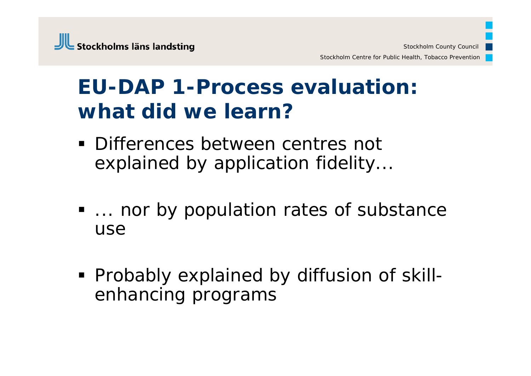# **EU-DAP 1-Process evaluation: what did we learn?**

- Differences between centres not explained by application fidelity...
- **... nor by population rates of substance** use
- Probably explained by diffusion of skillenhancing programs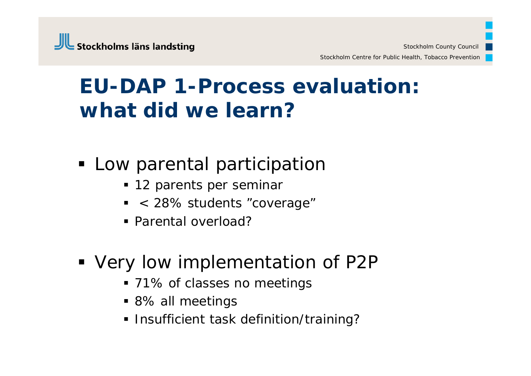# **EU-DAP 1-Process evaluation: what did we learn?**

- Low parental participation
	- 12 parents per seminar
	- < 28% students "coverage"
	- Parental overload?
- Very low implementation of P2P
	- 71% of classes no meetings
	- 8% all meetings
	- **Insufficient task definition/training?**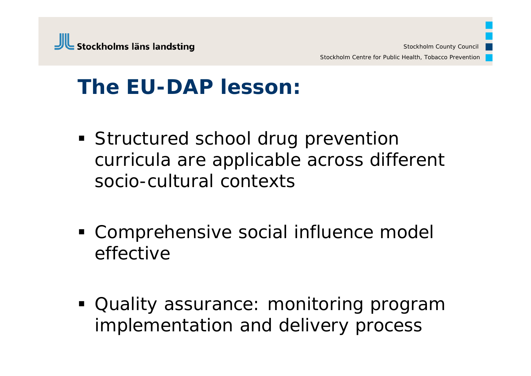## **The EU-DAP lesson:**

- **Structured school drug prevention** curricula are applicable across different socio-cultural contexts
- Comprehensive social influence model effective
- Quality assurance: monitoring program implementation and delivery process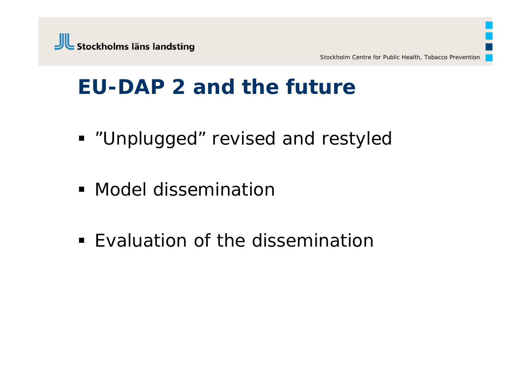## **EU-DAP 2 and the future**

- **"Unplugged" revised and restyled**
- **Model dissemination**
- **Evaluation of the dissemination**